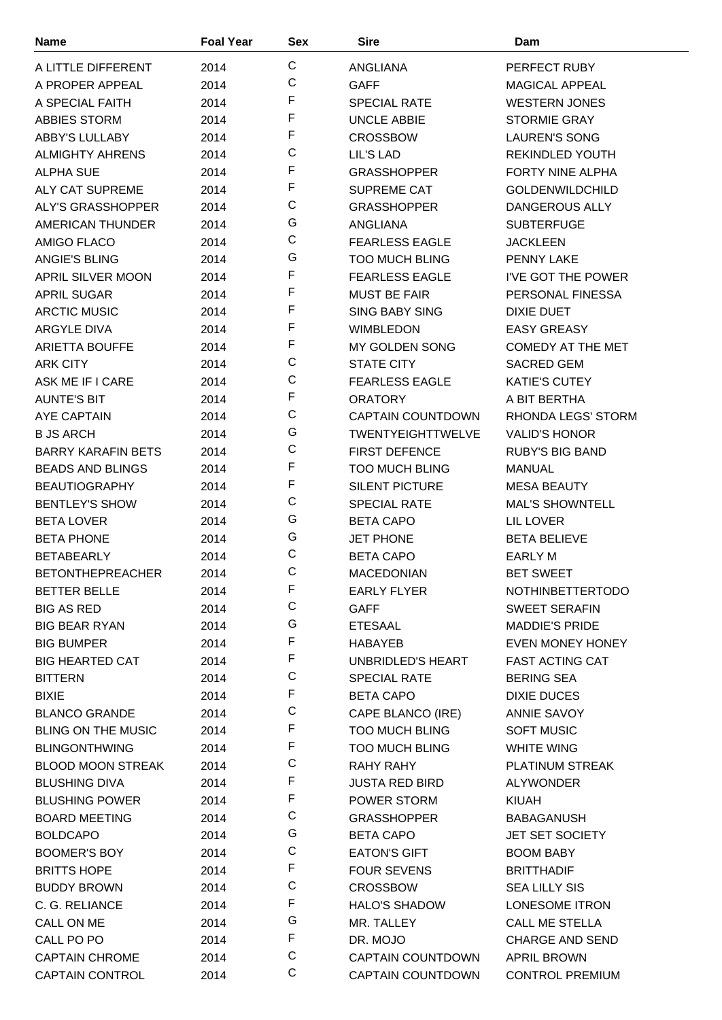| <b>Name</b>                            | <b>Foal Year</b> | <b>Sex</b>   | <b>Sire</b>              | Dam                                          |
|----------------------------------------|------------------|--------------|--------------------------|----------------------------------------------|
| A LITTLE DIFFERENT                     | 2014             | $\mathsf C$  | ANGLIANA                 | PERFECT RUBY                                 |
| A PROPER APPEAL                        | 2014             | C            | <b>GAFF</b>              | <b>MAGICAL APPEAL</b>                        |
| A SPECIAL FAITH                        | 2014             | F            | <b>SPECIAL RATE</b>      | <b>WESTERN JONES</b>                         |
| <b>ABBIES STORM</b>                    | 2014             | F            | <b>UNCLE ABBIE</b>       | <b>STORMIE GRAY</b>                          |
| ABBY'S LULLABY                         | 2014             | F            | <b>CROSSBOW</b>          | <b>LAUREN'S SONG</b>                         |
| <b>ALMIGHTY AHRENS</b>                 | 2014             | $\mathsf C$  | LIL'S LAD                | REKINDLED YOUTH                              |
| <b>ALPHA SUE</b>                       | 2014             | F            | <b>GRASSHOPPER</b>       | <b>FORTY NINE ALPHA</b>                      |
| <b>ALY CAT SUPREME</b>                 | 2014             | F            | <b>SUPREME CAT</b>       | <b>GOLDENWILDCHILD</b>                       |
| ALY'S GRASSHOPPER                      | 2014             | $\mathsf C$  | <b>GRASSHOPPER</b>       | <b>DANGEROUS ALLY</b>                        |
| AMERICAN THUNDER                       | 2014             | G            | ANGLIANA                 | <b>SUBTERFUGE</b>                            |
| AMIGO FLACO                            | 2014             | $\mathsf C$  | <b>FEARLESS EAGLE</b>    | <b>JACKLEEN</b>                              |
| ANGIE'S BLING                          | 2014             | G            | <b>TOO MUCH BLING</b>    | <b>PENNY LAKE</b>                            |
| APRIL SILVER MOON                      | 2014             | F            | <b>FEARLESS EAGLE</b>    | I'VE GOT THE POWER                           |
| <b>APRIL SUGAR</b>                     | 2014             | F            | <b>MUST BE FAIR</b>      | PERSONAL FINESSA                             |
| <b>ARCTIC MUSIC</b>                    | 2014             | F            | <b>SING BABY SING</b>    | <b>DIXIE DUET</b>                            |
| <b>ARGYLE DIVA</b>                     | 2014             | F            | <b>WIMBLEDON</b>         | <b>EASY GREASY</b>                           |
| <b>ARIETTA BOUFFE</b>                  | 2014             | F            | <b>MY GOLDEN SONG</b>    | <b>COMEDY AT THE MET</b>                     |
| <b>ARK CITY</b>                        | 2014             | $\mathsf C$  | <b>STATE CITY</b>        | <b>SACRED GEM</b>                            |
| ASK ME IF I CARE                       | 2014             | $\mathsf C$  | <b>FEARLESS EAGLE</b>    | <b>KATIE'S CUTEY</b>                         |
| <b>AUNTE'S BIT</b>                     | 2014             | F            | <b>ORATORY</b>           | A BIT BERTHA                                 |
| AYE CAPTAIN                            | 2014             | $\mathsf C$  | <b>CAPTAIN COUNTDOWN</b> | RHONDA LEGS' STORM                           |
| <b>B JS ARCH</b>                       |                  | G            | <b>TWENTYEIGHTTWELVE</b> | <b>VALID'S HONOR</b>                         |
| <b>BARRY KARAFIN BETS</b>              | 2014<br>2014     | $\mathsf C$  | <b>FIRST DEFENCE</b>     | <b>RUBY'S BIG BAND</b>                       |
| <b>BEADS AND BLINGS</b>                | 2014             | F            | <b>TOO MUCH BLING</b>    | <b>MANUAL</b>                                |
| <b>BEAUTIOGRAPHY</b>                   |                  | F            | <b>SILENT PICTURE</b>    |                                              |
| <b>BENTLEY'S SHOW</b>                  | 2014             | $\mathsf C$  | SPECIAL RATE             | <b>MESA BEAUTY</b><br><b>MAL'S SHOWNTELL</b> |
|                                        | 2014             | G            |                          |                                              |
| <b>BETA LOVER</b><br><b>BETA PHONE</b> | 2014             | G            | <b>BETA CAPO</b>         | LIL LOVER                                    |
|                                        | 2014             | C            | <b>JET PHONE</b>         | <b>BETA BELIEVE</b>                          |
| <b>BETABEARLY</b>                      | 2014             | $\mathsf{C}$ | <b>BETA CAPO</b>         | <b>EARLY M</b>                               |
| <b>BETONTHEPREACHER</b>                | 2014             | F            | <b>MACEDONIAN</b>        | <b>BET SWEET</b>                             |
| <b>BETTER BELLE</b>                    | 2014             | C            | <b>EARLY FLYER</b>       | <b>NOTHINBETTERTODO</b>                      |
| <b>BIG AS RED</b>                      | 2014             | G            | <b>GAFF</b>              | <b>SWEET SERAFIN</b>                         |
| <b>BIG BEAR RYAN</b>                   | 2014             | F            | <b>ETESAAL</b>           | <b>MADDIE'S PRIDE</b>                        |
| <b>BIG BUMPER</b>                      | 2014             | F            | <b>HABAYEB</b>           | <b>EVEN MONEY HONEY</b>                      |
| <b>BIG HEARTED CAT</b>                 | 2014             | C            | UNBRIDLED'S HEART        | <b>FAST ACTING CAT</b>                       |
| <b>BITTERN</b>                         | 2014             | F            | <b>SPECIAL RATE</b>      | <b>BERING SEA</b>                            |
| <b>BIXIE</b>                           | 2014             | $\mathsf C$  | <b>BETA CAPO</b>         | DIXIE DUCES                                  |
| <b>BLANCO GRANDE</b>                   | 2014             | F            | CAPE BLANCO (IRE)        | ANNIE SAVOY                                  |
| <b>BLING ON THE MUSIC</b>              | 2014             | F            | <b>TOO MUCH BLING</b>    | <b>SOFT MUSIC</b>                            |
| <b>BLINGONTHWING</b>                   | 2014             | C            | <b>TOO MUCH BLING</b>    | <b>WHITE WING</b>                            |
| <b>BLOOD MOON STREAK</b>               | 2014             | F            | RAHY RAHY                | PLATINUM STREAK                              |
| <b>BLUSHING DIVA</b>                   | 2014             | F            | <b>JUSTA RED BIRD</b>    | <b>ALYWONDER</b>                             |
| <b>BLUSHING POWER</b>                  | 2014             | $\mathsf C$  | POWER STORM              | KIUAH                                        |
| <b>BOARD MEETING</b>                   | 2014             | G            | <b>GRASSHOPPER</b>       | <b>BABAGANUSH</b>                            |
| <b>BOLDCAPO</b>                        | 2014             | $\mathsf C$  | <b>BETA CAPO</b>         | <b>JET SET SOCIETY</b>                       |
| BOOMER'S BOY                           | 2014             | F            | <b>EATON'S GIFT</b>      | <b>BOOM BABY</b>                             |
| <b>BRITTS HOPE</b>                     | 2014             | $\mathsf C$  | <b>FOUR SEVENS</b>       | <b>BRITTHADIF</b>                            |
| <b>BUDDY BROWN</b>                     | 2014             | F            | <b>CROSSBOW</b>          | <b>SEA LILLY SIS</b>                         |
| C. G. RELIANCE                         | 2014             | G            | <b>HALO'S SHADOW</b>     | LONESOME ITRON                               |
| CALL ON ME                             | 2014             | F            | MR. TALLEY               | CALL ME STELLA                               |
| CALL PO PO                             | 2014             | C            | DR. MOJO                 | <b>CHARGE AND SEND</b>                       |
| <b>CAPTAIN CHROME</b>                  | 2014             | $\mathsf C$  | <b>CAPTAIN COUNTDOWN</b> | <b>APRIL BROWN</b>                           |
| <b>CAPTAIN CONTROL</b>                 | 2014             |              | <b>CAPTAIN COUNTDOWN</b> | <b>CONTROL PREMIUM</b>                       |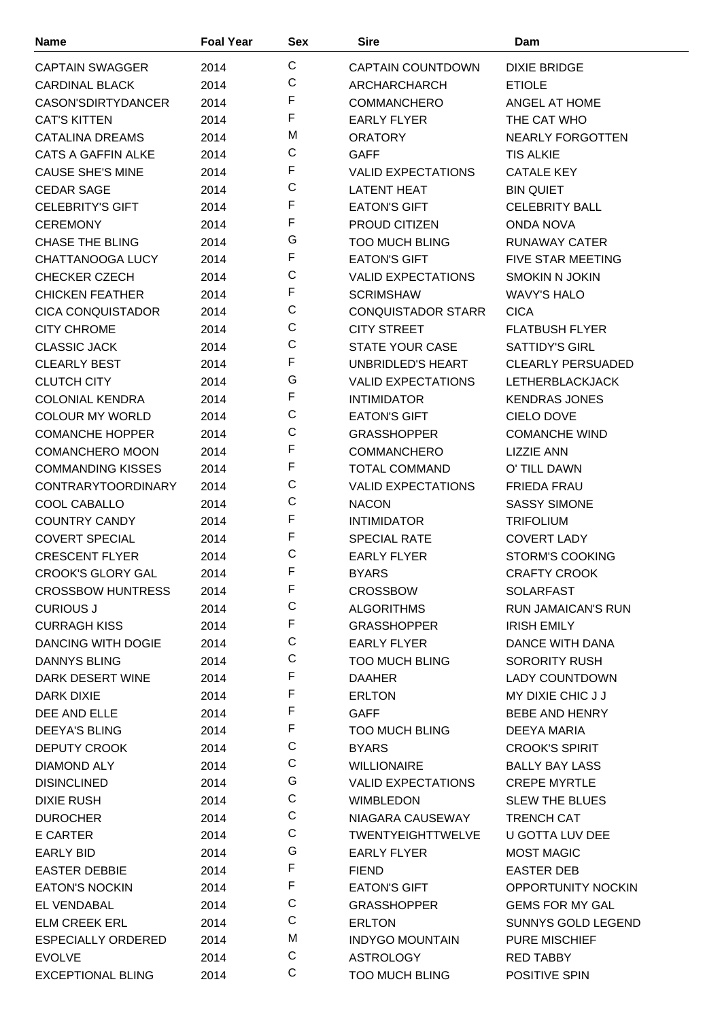| <b>Name</b>               | <b>Foal Year</b> | <b>Sex</b>   | <b>Sire</b>               | Dam                       |
|---------------------------|------------------|--------------|---------------------------|---------------------------|
| <b>CAPTAIN SWAGGER</b>    | 2014             | $\mathsf{C}$ | <b>CAPTAIN COUNTDOWN</b>  | <b>DIXIE BRIDGE</b>       |
| <b>CARDINAL BLACK</b>     | 2014             | $\mathbf C$  | ARCHARCHARCH              | <b>ETIOLE</b>             |
| CASON'SDIRTYDANCER        | 2014             | F            | <b>COMMANCHERO</b>        | ANGEL AT HOME             |
| <b>CAT'S KITTEN</b>       | 2014             | F            | <b>EARLY FLYER</b>        | THE CAT WHO               |
| <b>CATALINA DREAMS</b>    | 2014             | M            | <b>ORATORY</b>            | NEARLY FORGOTTEN          |
| <b>CATS A GAFFIN ALKE</b> | 2014             | C            | <b>GAFF</b>               | <b>TIS ALKIE</b>          |
| <b>CAUSE SHE'S MINE</b>   | 2014             | F            | <b>VALID EXPECTATIONS</b> | <b>CATALE KEY</b>         |
| <b>CEDAR SAGE</b>         | 2014             | C            | <b>LATENT HEAT</b>        | <b>BIN QUIET</b>          |
| <b>CELEBRITY'S GIFT</b>   | 2014             | F            | <b>EATON'S GIFT</b>       | <b>CELEBRITY BALL</b>     |
| <b>CEREMONY</b>           | 2014             | F            | <b>PROUD CITIZEN</b>      | <b>ONDA NOVA</b>          |
| <b>CHASE THE BLING</b>    | 2014             | G            | <b>TOO MUCH BLING</b>     | RUNAWAY CATER             |
| <b>CHATTANOOGA LUCY</b>   | 2014             | F            | <b>EATON'S GIFT</b>       | <b>FIVE STAR MEETING</b>  |
| <b>CHECKER CZECH</b>      | 2014             | $\mathsf C$  | <b>VALID EXPECTATIONS</b> | <b>SMOKIN N JOKIN</b>     |
| <b>CHICKEN FEATHER</b>    | 2014             | F            | <b>SCRIMSHAW</b>          | <b>WAVY'S HALO</b>        |
| <b>CICA CONQUISTADOR</b>  | 2014             | $\mathsf C$  | <b>CONQUISTADOR STARR</b> | <b>CICA</b>               |
| <b>CITY CHROME</b>        | 2014             | $\mathsf C$  | <b>CITY STREET</b>        | <b>FLATBUSH FLYER</b>     |
| <b>CLASSIC JACK</b>       | 2014             | $\mathsf{C}$ | <b>STATE YOUR CASE</b>    | <b>SATTIDY'S GIRL</b>     |
| <b>CLEARLY BEST</b>       | 2014             | F            | <b>UNBRIDLED'S HEART</b>  | <b>CLEARLY PERSUADED</b>  |
| <b>CLUTCH CITY</b>        | 2014             | G            | <b>VALID EXPECTATIONS</b> | LETHERBLACKJACK           |
| <b>COLONIAL KENDRA</b>    | 2014             | F            | <b>INTIMIDATOR</b>        | <b>KENDRAS JONES</b>      |
| <b>COLOUR MY WORLD</b>    | 2014             | $\mathsf{C}$ | <b>EATON'S GIFT</b>       | <b>CIELO DOVE</b>         |
| <b>COMANCHE HOPPER</b>    | 2014             | $\mathsf C$  | <b>GRASSHOPPER</b>        | <b>COMANCHE WIND</b>      |
| <b>COMANCHERO MOON</b>    | 2014             | F            | <b>COMMANCHERO</b>        | <b>LIZZIE ANN</b>         |
| <b>COMMANDING KISSES</b>  | 2014             | F            | <b>TOTAL COMMAND</b>      | O' TILL DAWN              |
| <b>CONTRARYTOORDINARY</b> | 2014             | C            | <b>VALID EXPECTATIONS</b> | <b>FRIEDA FRAU</b>        |
| COOL CABALLO              | 2014             | $\mathsf C$  | <b>NACON</b>              | <b>SASSY SIMONE</b>       |
| <b>COUNTRY CANDY</b>      | 2014             | F            | <b>INTIMIDATOR</b>        | <b>TRIFOLIUM</b>          |
| <b>COVERT SPECIAL</b>     | 2014             | F            | <b>SPECIAL RATE</b>       | <b>COVERT LADY</b>        |
| <b>CRESCENT FLYER</b>     | 2014             | C            | <b>EARLY FLYER</b>        | <b>STORM'S COOKING</b>    |
| <b>CROOK'S GLORY GAL</b>  | 2014             | F            | <b>BYARS</b>              | <b>CRAFTY CROOK</b>       |
| <b>CROSSBOW HUNTRESS</b>  | 2014             | F            | <b>CROSSBOW</b>           | SOLARFAST                 |
| <b>CURIOUS J</b>          | 2014             | $\mathsf C$  | <b>ALGORITHMS</b>         | <b>RUN JAMAICAN'S RUN</b> |
| <b>CURRAGH KISS</b>       | 2014             | F            | <b>GRASSHOPPER</b>        | <b>IRISH EMILY</b>        |
| <b>DANCING WITH DOGIE</b> | 2014             | $\mathsf C$  | <b>EARLY FLYER</b>        | DANCE WITH DANA           |
| <b>DANNYS BLING</b>       | 2014             | $\mathsf C$  | <b>TOO MUCH BLING</b>     | <b>SORORITY RUSH</b>      |
| DARK DESERT WINE          | 2014             | F            | <b>DAAHER</b>             | <b>LADY COUNTDOWN</b>     |
| DARK DIXIE                | 2014             | F            | <b>ERLTON</b>             | MY DIXIE CHIC J J         |
| DEE AND ELLE              | 2014             | F            | <b>GAFF</b>               | <b>BEBE AND HENRY</b>     |
| <b>DEEYA'S BLING</b>      | 2014             | F            | <b>TOO MUCH BLING</b>     | DEEYA MARIA               |
| DEPUTY CROOK              | 2014             | $\mathsf C$  | <b>BYARS</b>              | <b>CROOK'S SPIRIT</b>     |
| DIAMOND ALY               | 2014             | C            | <b>WILLIONAIRE</b>        | <b>BALLY BAY LASS</b>     |
| <b>DISINCLINED</b>        | 2014             | G            | <b>VALID EXPECTATIONS</b> | <b>CREPE MYRTLE</b>       |
| <b>DIXIE RUSH</b>         | 2014             | $\mathsf C$  | <b>WIMBLEDON</b>          | <b>SLEW THE BLUES</b>     |
| <b>DUROCHER</b>           | 2014             | $\mathsf C$  | NIAGARA CAUSEWAY          | TRENCH CAT                |
| E CARTER                  | 2014             | $\mathsf C$  | <b>TWENTYEIGHTTWELVE</b>  | U GOTTA LUV DEE           |
| <b>EARLY BID</b>          | 2014             | G            | <b>EARLY FLYER</b>        | <b>MOST MAGIC</b>         |
| <b>EASTER DEBBIE</b>      | 2014             | F            | <b>FIEND</b>              | <b>EASTER DEB</b>         |
| <b>EATON'S NOCKIN</b>     | 2014             | F            | <b>EATON'S GIFT</b>       | <b>OPPORTUNITY NOCKIN</b> |
| EL VENDABAL               | 2014             | $\mathbf C$  | <b>GRASSHOPPER</b>        | <b>GEMS FOR MY GAL</b>    |
| <b>ELM CREEK ERL</b>      | 2014             | $\mathsf C$  | <b>ERLTON</b>             | SUNNYS GOLD LEGEND        |
| <b>ESPECIALLY ORDERED</b> | 2014             | M            | <b>INDYGO MOUNTAIN</b>    | <b>PURE MISCHIEF</b>      |
| <b>EVOLVE</b>             | 2014             | С            | <b>ASTROLOGY</b>          | <b>RED TABBY</b>          |
| <b>EXCEPTIONAL BLING</b>  | 2014             | $\mathsf C$  | <b>TOO MUCH BLING</b>     | POSITIVE SPIN             |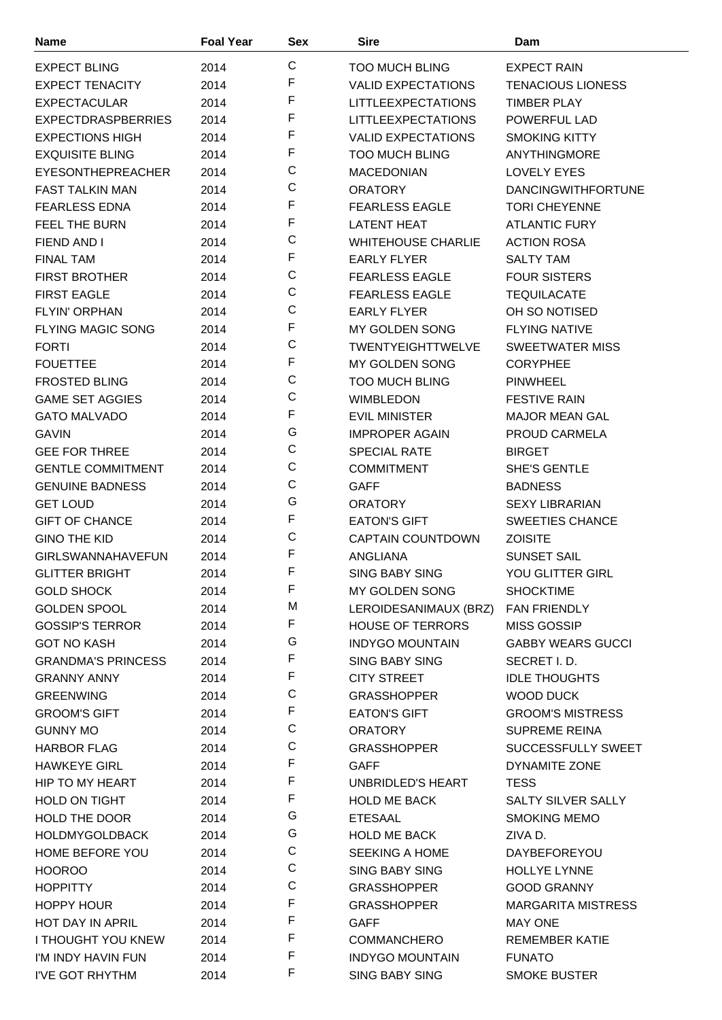| Name                                    | <b>Foal Year</b> | <b>Sex</b>  | <b>Sire</b>               | Dam                       |
|-----------------------------------------|------------------|-------------|---------------------------|---------------------------|
| <b>EXPECT BLING</b>                     | 2014             | $\mathsf C$ | <b>TOO MUCH BLING</b>     | <b>EXPECT RAIN</b>        |
| <b>EXPECT TENACITY</b>                  | 2014             | F           | <b>VALID EXPECTATIONS</b> | <b>TENACIOUS LIONESS</b>  |
| <b>EXPECTACULAR</b>                     | 2014             | F           | <b>LITTLEEXPECTATIONS</b> | <b>TIMBER PLAY</b>        |
| <b>EXPECTDRASPBERRIES</b>               | 2014             | F           | <b>LITTLEEXPECTATIONS</b> | <b>POWERFUL LAD</b>       |
| <b>EXPECTIONS HIGH</b>                  | 2014             | F           | <b>VALID EXPECTATIONS</b> | <b>SMOKING KITTY</b>      |
| <b>EXQUISITE BLING</b>                  | 2014             | F           | <b>TOO MUCH BLING</b>     | <b>ANYTHINGMORE</b>       |
| EYESONTHEPREACHER                       | 2014             | C           | <b>MACEDONIAN</b>         | LOVELY EYES               |
| <b>FAST TALKIN MAN</b>                  | 2014             | C           | <b>ORATORY</b>            | <b>DANCINGWITHFORTUNE</b> |
| <b>FEARLESS EDNA</b>                    | 2014             | F           | <b>FEARLESS EAGLE</b>     | <b>TORI CHEYENNE</b>      |
| FEEL THE BURN                           | 2014             | F           | <b>LATENT HEAT</b>        | <b>ATLANTIC FURY</b>      |
| FIEND AND I                             | 2014             | C           | <b>WHITEHOUSE CHARLIE</b> | <b>ACTION ROSA</b>        |
| <b>FINAL TAM</b>                        | 2014             | F           | <b>EARLY FLYER</b>        | <b>SALTY TAM</b>          |
| <b>FIRST BROTHER</b>                    | 2014             | $\mathsf C$ | <b>FEARLESS EAGLE</b>     | <b>FOUR SISTERS</b>       |
| <b>FIRST EAGLE</b>                      | 2014             | C           | <b>FEARLESS EAGLE</b>     | <b>TEQUILACATE</b>        |
| <b>FLYIN' ORPHAN</b>                    | 2014             | C           | <b>EARLY FLYER</b>        | OH SO NOTISED             |
| <b>FLYING MAGIC SONG</b>                | 2014             | F           | <b>MY GOLDEN SONG</b>     | <b>FLYING NATIVE</b>      |
| <b>FORTI</b>                            | 2014             | C           | <b>TWENTYEIGHTTWELVE</b>  | <b>SWEETWATER MISS</b>    |
|                                         |                  | F           | <b>MY GOLDEN SONG</b>     | <b>CORYPHEE</b>           |
| <b>FOUETTEE</b><br><b>FROSTED BLING</b> | 2014             | C           | <b>TOO MUCH BLING</b>     |                           |
|                                         | 2014             | C           |                           | <b>PINWHEEL</b>           |
| <b>GAME SET AGGIES</b>                  | 2014             | F           | <b>WIMBLEDON</b>          | <b>FESTIVE RAIN</b>       |
| <b>GATO MALVADO</b>                     | 2014             | G           | <b>EVIL MINISTER</b>      | <b>MAJOR MEAN GAL</b>     |
| <b>GAVIN</b>                            | 2014             | $\mathsf C$ | <b>IMPROPER AGAIN</b>     | PROUD CARMELA             |
| <b>GEE FOR THREE</b>                    | 2014             | C           | <b>SPECIAL RATE</b>       | <b>BIRGET</b>             |
| <b>GENTLE COMMITMENT</b>                | 2014             | C           | <b>COMMITMENT</b>         | <b>SHE'S GENTLE</b>       |
| <b>GENUINE BADNESS</b>                  | 2014             | G           | <b>GAFF</b>               | <b>BADNESS</b>            |
| <b>GET LOUD</b>                         | 2014             | F           | <b>ORATORY</b>            | <b>SEXY LIBRARIAN</b>     |
| <b>GIFT OF CHANCE</b>                   | 2014             | C           | <b>EATON'S GIFT</b>       | <b>SWEETIES CHANCE</b>    |
| <b>GINO THE KID</b>                     | 2014             |             | <b>CAPTAIN COUNTDOWN</b>  | <b>ZOISITE</b>            |
| <b>GIRLSWANNAHAVEFUN</b>                | 2014             | F<br>F      | ANGLIANA                  | <b>SUNSET SAIL</b>        |
| <b>GLITTER BRIGHT</b>                   | 2014             |             | <b>SING BABY SING</b>     | YOU GLITTER GIRL          |
| <b>GOLD SHOCK</b>                       | 2014             | F           | MY GOLDEN SONG            | <b>SHOCKTIME</b>          |
| <b>GOLDEN SPOOL</b>                     | 2014             | M           | LEROIDESANIMAUX (BRZ)     | <b>FAN FRIENDLY</b>       |
| <b>GOSSIP'S TERROR</b>                  | 2014             | F           | <b>HOUSE OF TERRORS</b>   | <b>MISS GOSSIP</b>        |
| <b>GOT NO KASH</b>                      | 2014             | G           | <b>INDYGO MOUNTAIN</b>    | <b>GABBY WEARS GUCCI</b>  |
| <b>GRANDMA'S PRINCESS</b>               | 2014             | F           | <b>SING BABY SING</b>     | SECRET I.D.               |
| <b>GRANNY ANNY</b>                      | 2014             | F           | <b>CITY STREET</b>        | <b>IDLE THOUGHTS</b>      |
| <b>GREENWING</b>                        | 2014             | C           | <b>GRASSHOPPER</b>        | <b>WOOD DUCK</b>          |
| <b>GROOM'S GIFT</b>                     | 2014             | F           | <b>EATON'S GIFT</b>       | <b>GROOM'S MISTRESS</b>   |
| <b>GUNNY MO</b>                         | 2014             | C           | <b>ORATORY</b>            | <b>SUPREME REINA</b>      |
| <b>HARBOR FLAG</b>                      | 2014             | $\mathsf C$ | <b>GRASSHOPPER</b>        | SUCCESSFULLY SWEET        |
| <b>HAWKEYE GIRL</b>                     | 2014             | F           | <b>GAFF</b>               | DYNAMITE ZONE             |
| HIP TO MY HEART                         | 2014             | F           | UNBRIDLED'S HEART         | <b>TESS</b>               |
| <b>HOLD ON TIGHT</b>                    | 2014             | F           | <b>HOLD ME BACK</b>       | <b>SALTY SILVER SALLY</b> |
| HOLD THE DOOR                           | 2014             | G           | <b>ETESAAL</b>            | <b>SMOKING MEMO</b>       |
| <b>HOLDMYGOLDBACK</b>                   | 2014             | G           | <b>HOLD ME BACK</b>       | ZIVA D.                   |
| HOME BEFORE YOU                         | 2014             | $\mathsf C$ | SEEKING A HOME            | DAYBEFOREYOU              |
| <b>HOOROO</b>                           | 2014             | C           | SING BABY SING            | <b>HOLLYE LYNNE</b>       |
| <b>HOPPITTY</b>                         | 2014             | $\mathsf C$ | <b>GRASSHOPPER</b>        | <b>GOOD GRANNY</b>        |
| <b>HOPPY HOUR</b>                       | 2014             | F           | <b>GRASSHOPPER</b>        | <b>MARGARITA MISTRESS</b> |
| <b>HOT DAY IN APRIL</b>                 | 2014             | F           | <b>GAFF</b>               | <b>MAY ONE</b>            |
| I THOUGHT YOU KNEW                      | 2014             | F           | <b>COMMANCHERO</b>        | <b>REMEMBER KATIE</b>     |
| I'M INDY HAVIN FUN                      | 2014             | F           | <b>INDYGO MOUNTAIN</b>    | <b>FUNATO</b>             |
| I'VE GOT RHYTHM                         | 2014             | F           | SING BABY SING            | <b>SMOKE BUSTER</b>       |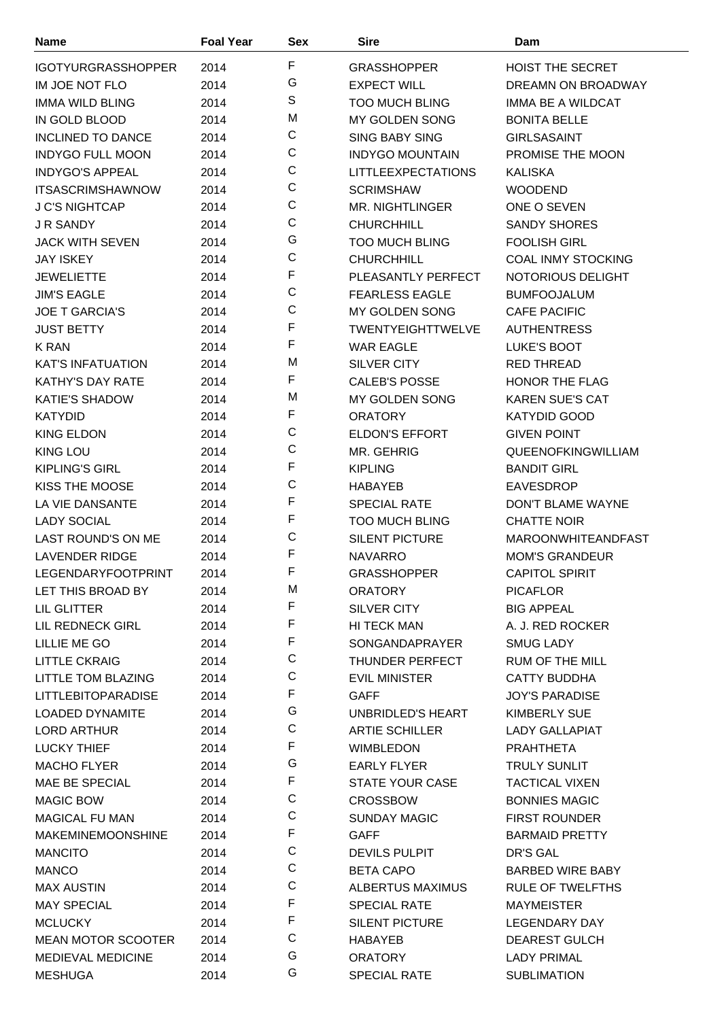| <b>Name</b>                                           | <b>Foal Year</b> | <b>Sex</b>       | <b>Sire</b>                             | Dam                                        |
|-------------------------------------------------------|------------------|------------------|-----------------------------------------|--------------------------------------------|
| <b>IGOTYURGRASSHOPPER</b>                             | 2014             | F                | <b>GRASSHOPPER</b>                      | <b>HOIST THE SECRET</b>                    |
| IM JOE NOT FLO                                        | 2014             | G                | <b>EXPECT WILL</b>                      | DREAMN ON BROADWAY                         |
| <b>IMMA WILD BLING</b>                                | 2014             | S                | <b>TOO MUCH BLING</b>                   | IMMA BE A WILDCAT                          |
| IN GOLD BLOOD                                         | 2014             | M                | MY GOLDEN SONG                          | <b>BONITA BELLE</b>                        |
| <b>INCLINED TO DANCE</b>                              | 2014             | С                | <b>SING BABY SING</b>                   | <b>GIRLSASAINT</b>                         |
| <b>INDYGO FULL MOON</b>                               | 2014             | C                | <b>INDYGO MOUNTAIN</b>                  | PROMISE THE MOON                           |
| <b>INDYGO'S APPEAL</b>                                | 2014             | C                | <b>LITTLEEXPECTATIONS</b>               | <b>KALISKA</b>                             |
| <b>ITSASCRIMSHAWNOW</b>                               | 2014             | $\mathsf C$      | <b>SCRIMSHAW</b>                        | <b>WOODEND</b>                             |
| <b>J C'S NIGHTCAP</b>                                 | 2014             | $\mathsf C$      | <b>MR. NIGHTLINGER</b>                  | ONE O SEVEN                                |
| <b>J R SANDY</b>                                      | 2014             | C                | <b>CHURCHHILL</b>                       | <b>SANDY SHORES</b>                        |
| <b>JACK WITH SEVEN</b>                                | 2014             | G                | <b>TOO MUCH BLING</b>                   | <b>FOOLISH GIRL</b>                        |
| <b>JAY ISKEY</b>                                      | 2014             | C                | <b>CHURCHHILL</b>                       | <b>COAL INMY STOCKING</b>                  |
| <b>JEWELIETTE</b>                                     | 2014             | F                | PLEASANTLY PERFECT                      | NOTORIOUS DELIGHT                          |
| <b>JIM'S EAGLE</b>                                    | 2014             | $\mathsf C$      | <b>FEARLESS EAGLE</b>                   | <b>BUMFOOJALUM</b>                         |
| <b>JOE T GARCIA'S</b>                                 | 2014             | C                | <b>MY GOLDEN SONG</b>                   | <b>CAFE PACIFIC</b>                        |
| <b>JUST BETTY</b>                                     | 2014             | F                | <b>TWENTYEIGHTTWELVE</b>                | <b>AUTHENTRESS</b>                         |
| <b>K RAN</b>                                          | 2014             | F                | <b>WAR EAGLE</b>                        | LUKE'S BOOT                                |
| <b>KAT'S INFATUATION</b>                              | 2014             | M                | <b>SILVER CITY</b>                      | <b>RED THREAD</b>                          |
| <b>KATHY'S DAY RATE</b>                               | 2014             | F                | <b>CALEB'S POSSE</b>                    | HONOR THE FLAG                             |
| <b>KATIE'S SHADOW</b>                                 | 2014             | M                | MY GOLDEN SONG                          | <b>KAREN SUE'S CAT</b>                     |
| <b>KATYDID</b>                                        | 2014             | F                | <b>ORATORY</b>                          | <b>KATYDID GOOD</b>                        |
| <b>KING ELDON</b>                                     | 2014             | C                | <b>ELDON'S EFFORT</b>                   | <b>GIVEN POINT</b>                         |
| <b>KING LOU</b>                                       | 2014             | C                | MR. GEHRIG                              | <b>QUEENOFKINGWILLIAM</b>                  |
| <b>KIPLING'S GIRL</b>                                 | 2014             | F                | <b>KIPLING</b>                          | <b>BANDIT GIRL</b>                         |
| KISS THE MOOSE                                        | 2014             | C                | <b>HABAYEB</b>                          | <b>EAVESDROP</b>                           |
| LA VIE DANSANTE                                       | 2014             | F                | <b>SPECIAL RATE</b>                     | DON'T BLAME WAYNE                          |
| <b>LADY SOCIAL</b>                                    | 2014             | F                | <b>TOO MUCH BLING</b>                   | <b>CHATTE NOIR</b>                         |
| LAST ROUND'S ON ME                                    | 2014             | C                | <b>SILENT PICTURE</b>                   | <b>MAROONWHITEANDFAST</b>                  |
| <b>LAVENDER RIDGE</b>                                 | 2014             | F                | <b>NAVARRO</b>                          | <b>MOM'S GRANDEUR</b>                      |
| <b>LEGENDARYFOOTPRINT</b>                             | 2014             | F                | <b>GRASSHOPPER</b>                      | <b>CAPITOL SPIRIT</b>                      |
| LET THIS BROAD BY                                     | 2014             | M                | <b>ORATORY</b>                          | <b>PICAFLOR</b>                            |
| LIL GLITTER                                           | 2014             | F                | <b>SILVER CITY</b>                      | <b>BIG APPEAL</b>                          |
| LIL REDNECK GIRL                                      | 2014             | F                | HI TECK MAN                             | A. J. RED ROCKER                           |
| LILLIE ME GO                                          | 2014             | F                | SONGANDAPRAYER                          | <b>SMUG LADY</b>                           |
| <b>LITTLE CKRAIG</b>                                  | 2014             | C                | THUNDER PERFECT                         | <b>RUM OF THE MILL</b>                     |
| LITTLE TOM BLAZING                                    | 2014             | C                | <b>EVIL MINISTER</b>                    | <b>CATTY BUDDHA</b>                        |
| <b>LITTLEBITOPARADISE</b>                             | 2014             | F                | <b>GAFF</b>                             | <b>JOY'S PARADISE</b>                      |
| <b>LOADED DYNAMITE</b>                                | 2014             | G                | UNBRIDLED'S HEART                       | <b>KIMBERLY SUE</b>                        |
| <b>LORD ARTHUR</b>                                    | 2014             | $\mathsf C$      | <b>ARTIE SCHILLER</b>                   | <b>LADY GALLAPIAT</b>                      |
| <b>LUCKY THIEF</b>                                    | 2014             | F                | <b>WIMBLEDON</b>                        | <b>PRAHTHETA</b>                           |
| <b>MACHO FLYER</b>                                    | 2014             | G                | <b>EARLY FLYER</b>                      | <b>TRULY SUNLIT</b>                        |
| MAE BE SPECIAL                                        | 2014             | F                | <b>STATE YOUR CASE</b>                  | <b>TACTICAL VIXEN</b>                      |
| <b>MAGIC BOW</b>                                      | 2014             | C                | <b>CROSSBOW</b>                         | <b>BONNIES MAGIC</b>                       |
| <b>MAGICAL FU MAN</b>                                 | 2014             | $\mathsf C$      | <b>SUNDAY MAGIC</b>                     | <b>FIRST ROUNDER</b>                       |
| <b>MAKEMINEMOONSHINE</b>                              | 2014             | F<br>$\mathsf C$ | <b>GAFF</b>                             | <b>BARMAID PRETTY</b>                      |
| <b>MANCITO</b>                                        | 2014             |                  | <b>DEVILS PULPIT</b>                    | DR'S GAL                                   |
| <b>MANCO</b>                                          | 2014             | С<br>C           | <b>BETA CAPO</b>                        | <b>BARBED WIRE BABY</b>                    |
| <b>MAX AUSTIN</b>                                     | 2014             | F                | ALBERTUS MAXIMUS                        | RULE OF TWELFTHS                           |
| <b>MAY SPECIAL</b>                                    | 2014             | F                | <b>SPECIAL RATE</b>                     | <b>MAYMEISTER</b>                          |
| <b>MCLUCKY</b>                                        | 2014             | C                | <b>SILENT PICTURE</b><br><b>HABAYEB</b> | <b>LEGENDARY DAY</b>                       |
| <b>MEAN MOTOR SCOOTER</b><br><b>MEDIEVAL MEDICINE</b> | 2014<br>2014     | G                | <b>ORATORY</b>                          | <b>DEAREST GULCH</b><br><b>LADY PRIMAL</b> |
| <b>MESHUGA</b>                                        | 2014             | G                | <b>SPECIAL RATE</b>                     | <b>SUBLIMATION</b>                         |
|                                                       |                  |                  |                                         |                                            |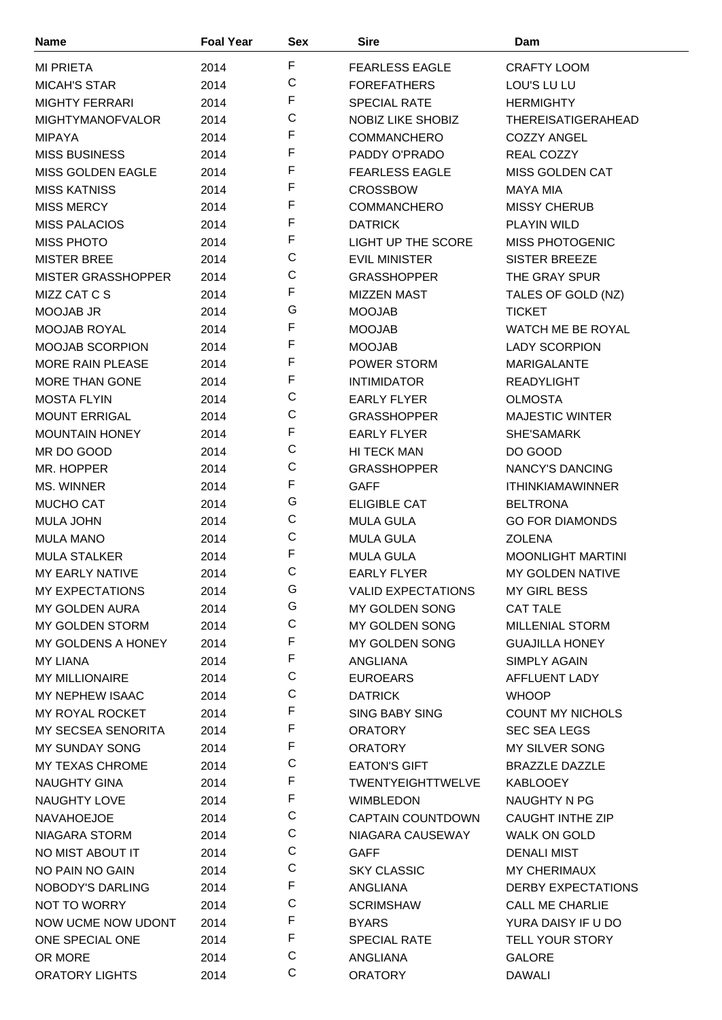| <b>Name</b>               | <b>Foal Year</b> | <b>Sex</b>  | <b>Sire</b>               | Dam                       |
|---------------------------|------------------|-------------|---------------------------|---------------------------|
| <b>MI PRIETA</b>          | 2014             | F           | <b>FEARLESS EAGLE</b>     | <b>CRAFTY LOOM</b>        |
| <b>MICAH'S STAR</b>       | 2014             | C           | <b>FOREFATHERS</b>        | LOU'S LU LU               |
| <b>MIGHTY FERRARI</b>     | 2014             | F           | <b>SPECIAL RATE</b>       | <b>HERMIGHTY</b>          |
| <b>MIGHTYMANOFVALOR</b>   | 2014             | C           | NOBIZ LIKE SHOBIZ         | <b>THEREISATIGERAHEAD</b> |
| <b>MIPAYA</b>             | 2014             | F           | <b>COMMANCHERO</b>        | <b>COZZY ANGEL</b>        |
| <b>MISS BUSINESS</b>      | 2014             | F           | PADDY O'PRADO             | REAL COZZY                |
| <b>MISS GOLDEN EAGLE</b>  | 2014             | F           | <b>FEARLESS EAGLE</b>     | <b>MISS GOLDEN CAT</b>    |
| <b>MISS KATNISS</b>       | 2014             | F           | <b>CROSSBOW</b>           | <b>MAYA MIA</b>           |
| <b>MISS MERCY</b>         | 2014             | F           | <b>COMMANCHERO</b>        | <b>MISSY CHERUB</b>       |
| <b>MISS PALACIOS</b>      | 2014             | F           | <b>DATRICK</b>            | <b>PLAYIN WILD</b>        |
| <b>MISS PHOTO</b>         | 2014             | F           | <b>LIGHT UP THE SCORE</b> | MISS PHOTOGENIC           |
| <b>MISTER BREE</b>        | 2014             | C           | <b>EVIL MINISTER</b>      | <b>SISTER BREEZE</b>      |
| <b>MISTER GRASSHOPPER</b> | 2014             | C           | <b>GRASSHOPPER</b>        | THE GRAY SPUR             |
| MIZZ CAT C S              | 2014             | F           | <b>MIZZEN MAST</b>        | TALES OF GOLD (NZ)        |
| <b>MOOJAB JR</b>          | 2014             | G           | <b>MOOJAB</b>             | <b>TICKET</b>             |
| MOOJAB ROYAL              | 2014             | F           | <b>MOOJAB</b>             | WATCH ME BE ROYAL         |
| MOOJAB SCORPION           | 2014             | F           | <b>MOOJAB</b>             | <b>LADY SCORPION</b>      |
| <b>MORE RAIN PLEASE</b>   | 2014             | F           | <b>POWER STORM</b>        | <b>MARIGALANTE</b>        |
| <b>MORE THAN GONE</b>     | 2014             | F           | <b>INTIMIDATOR</b>        | <b>READYLIGHT</b>         |
| <b>MOSTA FLYIN</b>        | 2014             | C           | <b>EARLY FLYER</b>        | <b>OLMOSTA</b>            |
| <b>MOUNT ERRIGAL</b>      | 2014             | C           | <b>GRASSHOPPER</b>        | <b>MAJESTIC WINTER</b>    |
| <b>MOUNTAIN HONEY</b>     | 2014             | F           | <b>EARLY FLYER</b>        | SHE'SAMARK                |
| MR DO GOOD                | 2014             | C           | HI TECK MAN               | DO GOOD                   |
| MR. HOPPER                | 2014             | C           | <b>GRASSHOPPER</b>        | <b>NANCY'S DANCING</b>    |
| MS. WINNER                | 2014             | F           | <b>GAFF</b>               | <b>ITHINKIAMAWINNER</b>   |
| <b>MUCHO CAT</b>          | 2014             | G           | <b>ELIGIBLE CAT</b>       | <b>BELTRONA</b>           |
| <b>MULA JOHN</b>          | 2014             | C           | <b>MULA GULA</b>          | <b>GO FOR DIAMONDS</b>    |
| <b>MULA MANO</b>          | 2014             | C           | <b>MULA GULA</b>          | <b>ZOLENA</b>             |
| <b>MULA STALKER</b>       | 2014             | F           | <b>MULA GULA</b>          | <b>MOONLIGHT MARTINI</b>  |
| <b>MY EARLY NATIVE</b>    | 2014             | C           | <b>EARLY FLYER</b>        | MY GOLDEN NATIVE          |
| <b>MY EXPECTATIONS</b>    | 2014             | G           | <b>VALID EXPECTATIONS</b> | <b>MY GIRL BESS</b>       |
| MY GOLDEN AURA            | 2014             | G           | MY GOLDEN SONG            | <b>CAT TALE</b>           |
| MY GOLDEN STORM           | 2014             | $\mathsf C$ | MY GOLDEN SONG            | <b>MILLENIAL STORM</b>    |
| MY GOLDENS A HONEY        | 2014             | F           | MY GOLDEN SONG            | <b>GUAJILLA HONEY</b>     |
| <b>MY LIANA</b>           | 2014             | F           | ANGLIANA                  | SIMPLY AGAIN              |
| <b>MY MILLIONAIRE</b>     | 2014             | C           | <b>EUROEARS</b>           | AFFLUENT LADY             |
| MY NEPHEW ISAAC           | 2014             | C           | <b>DATRICK</b>            | <b>WHOOP</b>              |
| MY ROYAL ROCKET           | 2014             | F           | <b>SING BABY SING</b>     | <b>COUNT MY NICHOLS</b>   |
| MY SECSEA SENORITA        | 2014             | F           | <b>ORATORY</b>            | <b>SEC SEA LEGS</b>       |
| <b>MY SUNDAY SONG</b>     | 2014             | F           | <b>ORATORY</b>            | MY SILVER SONG            |
| MY TEXAS CHROME           | 2014             | C           | <b>EATON'S GIFT</b>       | <b>BRAZZLE DAZZLE</b>     |
| <b>NAUGHTY GINA</b>       | 2014             | F           | <b>TWENTYEIGHTTWELVE</b>  | <b>KABLOOEY</b>           |
| <b>NAUGHTY LOVE</b>       | 2014             | F           | <b>WIMBLEDON</b>          | NAUGHTY N PG              |
| <b>NAVAHOEJOE</b>         | 2014             | C           | <b>CAPTAIN COUNTDOWN</b>  | <b>CAUGHT INTHE ZIP</b>   |
| NIAGARA STORM             | 2014             | C           | NIAGARA CAUSEWAY          | <b>WALK ON GOLD</b>       |
| NO MIST ABOUT IT          | 2014             | C           | <b>GAFF</b>               | <b>DENALI MIST</b>        |
| NO PAIN NO GAIN           | 2014             | C           | <b>SKY CLASSIC</b>        | <b>MY CHERIMAUX</b>       |
| NOBODY'S DARLING          | 2014             | F           | ANGLIANA                  | DERBY EXPECTATIONS        |
| NOT TO WORRY              | 2014             | C           | <b>SCRIMSHAW</b>          | <b>CALL ME CHARLIE</b>    |
| NOW UCME NOW UDONT        | 2014             | F           | <b>BYARS</b>              | YURA DAISY IF U DO        |
| ONE SPECIAL ONE           | 2014             | F           | <b>SPECIAL RATE</b>       | <b>TELL YOUR STORY</b>    |
| OR MORE                   | 2014             | C           | ANGLIANA                  | <b>GALORE</b>             |
| <b>ORATORY LIGHTS</b>     | 2014             | C           | <b>ORATORY</b>            | <b>DAWALI</b>             |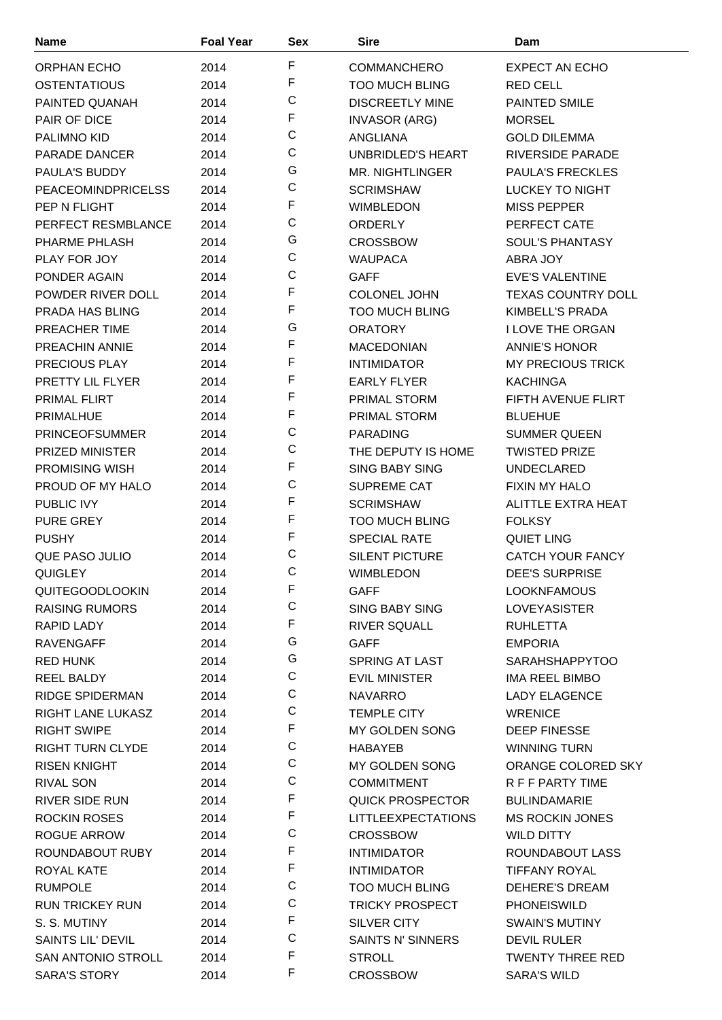| <b>Name</b>                         | <b>Foal Year</b> | <b>Sex</b>  | <b>Sire</b>               | Dam                                     |
|-------------------------------------|------------------|-------------|---------------------------|-----------------------------------------|
| <b>ORPHAN ECHO</b>                  | 2014             | F           | <b>COMMANCHERO</b>        | EXPECT AN ECHO                          |
| <b>OSTENTATIOUS</b>                 | 2014             | F           | <b>TOO MUCH BLING</b>     | <b>RED CELL</b>                         |
| PAINTED QUANAH                      | 2014             | C           | <b>DISCREETLY MINE</b>    | PAINTED SMILE                           |
| PAIR OF DICE                        | 2014             | F           | <b>INVASOR (ARG)</b>      | <b>MORSEL</b>                           |
| PALIMNO KID                         | 2014             | C           | ANGLIANA                  | <b>GOLD DILEMMA</b>                     |
| PARADE DANCER                       | 2014             | C           | UNBRIDLED'S HEART         | RIVERSIDE PARADE                        |
| <b>PAULA'S BUDDY</b>                | 2014             | G           | <b>MR. NIGHTLINGER</b>    | <b>PAULA'S FRECKLES</b>                 |
| <b>PEACEOMINDPRICELSS</b>           | 2014             | C           | <b>SCRIMSHAW</b>          | LUCKEY TO NIGHT                         |
| PEP N FLIGHT                        | 2014             | F           | <b>WIMBLEDON</b>          | <b>MISS PEPPER</b>                      |
| PERFECT RESMBLANCE                  | 2014             | C           | <b>ORDERLY</b>            | PERFECT CATE                            |
| PHARME PHLASH                       | 2014             | G           | <b>CROSSBOW</b>           | SOUL'S PHANTASY                         |
| PLAY FOR JOY                        | 2014             | C           | <b>WAUPACA</b>            | ABRA JOY                                |
| PONDER AGAIN                        | 2014             | C           | <b>GAFF</b>               | <b>EVE'S VALENTINE</b>                  |
| POWDER RIVER DOLL                   | 2014             | F           | <b>COLONEL JOHN</b>       | <b>TEXAS COUNTRY DOLL</b>               |
| PRADA HAS BLING                     | 2014             | F           | <b>TOO MUCH BLING</b>     | KIMBELL'S PRADA                         |
| PREACHER TIME                       | 2014             | G           | <b>ORATORY</b>            | <b>I LOVE THE ORGAN</b>                 |
| <b>PREACHIN ANNIE</b>               | 2014             | F           | <b>MACEDONIAN</b>         | <b>ANNIE'S HONOR</b>                    |
| PRECIOUS PLAY                       | 2014             | F           | <b>INTIMIDATOR</b>        | <b>MY PRECIOUS TRICK</b>                |
| PRETTY LIL FLYER                    | 2014             | F           | <b>EARLY FLYER</b>        | <b>KACHINGA</b>                         |
| PRIMAL FLIRT                        | 2014             | F           | PRIMAL STORM              | FIFTH AVENUE FLIRT                      |
| PRIMALHUE                           | 2014             | F           | <b>PRIMAL STORM</b>       | <b>BLUEHUE</b>                          |
| <b>PRINCEOFSUMMER</b>               | 2014             | C           | <b>PARADING</b>           | <b>SUMMER QUEEN</b>                     |
| PRIZED MINISTER                     | 2014             | C           | THE DEPUTY IS HOME        | <b>TWISTED PRIZE</b>                    |
| <b>PROMISING WISH</b>               |                  | F           | <b>SING BABY SING</b>     | <b>UNDECLARED</b>                       |
| PROUD OF MY HALO                    | 2014             | C           | SUPREME CAT               | <b>FIXIN MY HALO</b>                    |
| PUBLIC IVY                          | 2014             | F           | <b>SCRIMSHAW</b>          | ALITTLE EXTRA HEAT                      |
|                                     | 2014             | F           |                           |                                         |
| <b>PURE GREY</b>                    | 2014             | F           | <b>TOO MUCH BLING</b>     | <b>FOLKSY</b>                           |
| <b>PUSHY</b>                        | 2014             | C           | <b>SPECIAL RATE</b>       | <b>QUIET LING</b>                       |
| QUE PASO JULIO                      | 2014             | C           | <b>SILENT PICTURE</b>     | <b>CATCH YOUR FANCY</b>                 |
| QUIGLEY                             | 2014             | F           | WIMBLEDON                 | <b>DEE'S SURPRISE</b>                   |
| <b>QUITEGOODLOOKIN</b>              | 2014             | C           | <b>GAFF</b>               | <b>LOOKNFAMOUS</b>                      |
| <b>RAISING RUMORS</b>               | 2014             | F           | SING BABY SING            | <b>LOVEYASISTER</b>                     |
| RAPID LADY                          | 2014             | G           | <b>RIVER SQUALL</b>       | <b>RUHLETTA</b>                         |
| <b>RAVENGAFF</b><br><b>RED HUNK</b> | 2014             | G           | <b>GAFF</b>               | <b>EMPORIA</b><br><b>SARAHSHAPPYTOO</b> |
|                                     | 2014             | C           | <b>SPRING AT LAST</b>     |                                         |
| <b>REEL BALDY</b>                   | 2014             | C           | <b>EVIL MINISTER</b>      | IMA REEL BIMBO                          |
| <b>RIDGE SPIDERMAN</b>              | 2014             | C           | <b>NAVARRO</b>            | <b>LADY ELAGENCE</b>                    |
| RIGHT LANE LUKASZ                   | 2014             | F           | <b>TEMPLE CITY</b>        | <b>WRENICE</b>                          |
| <b>RIGHT SWIPE</b>                  | 2014             | C           | MY GOLDEN SONG            | <b>DEEP FINESSE</b>                     |
| <b>RIGHT TURN CLYDE</b>             | 2014             | C           | <b>HABAYEB</b>            | <b>WINNING TURN</b>                     |
| <b>RISEN KNIGHT</b>                 | 2014             | C           | MY GOLDEN SONG            | ORANGE COLORED SKY                      |
| <b>RIVAL SON</b>                    | 2014             | F           | <b>COMMITMENT</b>         | R F F PARTY TIME                        |
| <b>RIVER SIDE RUN</b>               | 2014             | F           | QUICK PROSPECTOR          | <b>BULINDAMARIE</b>                     |
| <b>ROCKIN ROSES</b>                 | 2014             | C           | <b>LITTLEEXPECTATIONS</b> | <b>MS ROCKIN JONES</b>                  |
| <b>ROGUE ARROW</b>                  | 2014             | F           | <b>CROSSBOW</b>           | <b>WILD DITTY</b>                       |
| ROUNDABOUT RUBY                     | 2014             | $\mathsf F$ | <b>INTIMIDATOR</b>        | ROUNDABOUT LASS                         |
| ROYAL KATE                          | 2014             | C           | <b>INTIMIDATOR</b>        | <b>TIFFANY ROYAL</b>                    |
| <b>RUMPOLE</b>                      | 2014             |             | <b>TOO MUCH BLING</b>     | DEHERE'S DREAM                          |
| <b>RUN TRICKEY RUN</b>              | 2014             | C<br>F      | <b>TRICKY PROSPECT</b>    | <b>PHONEISWILD</b>                      |
| S. S. MUTINY                        | 2014             | C           | SILVER CITY               | <b>SWAIN'S MUTINY</b>                   |
| <b>SAINTS LIL' DEVIL</b>            | 2014             |             | <b>SAINTS N' SINNERS</b>  | <b>DEVIL RULER</b>                      |
| <b>SAN ANTONIO STROLL</b>           | 2014             | F<br>F      | <b>STROLL</b>             | <b>TWENTY THREE RED</b>                 |
| <b>SARA'S STORY</b>                 | 2014             |             | <b>CROSSBOW</b>           | <b>SARA'S WILD</b>                      |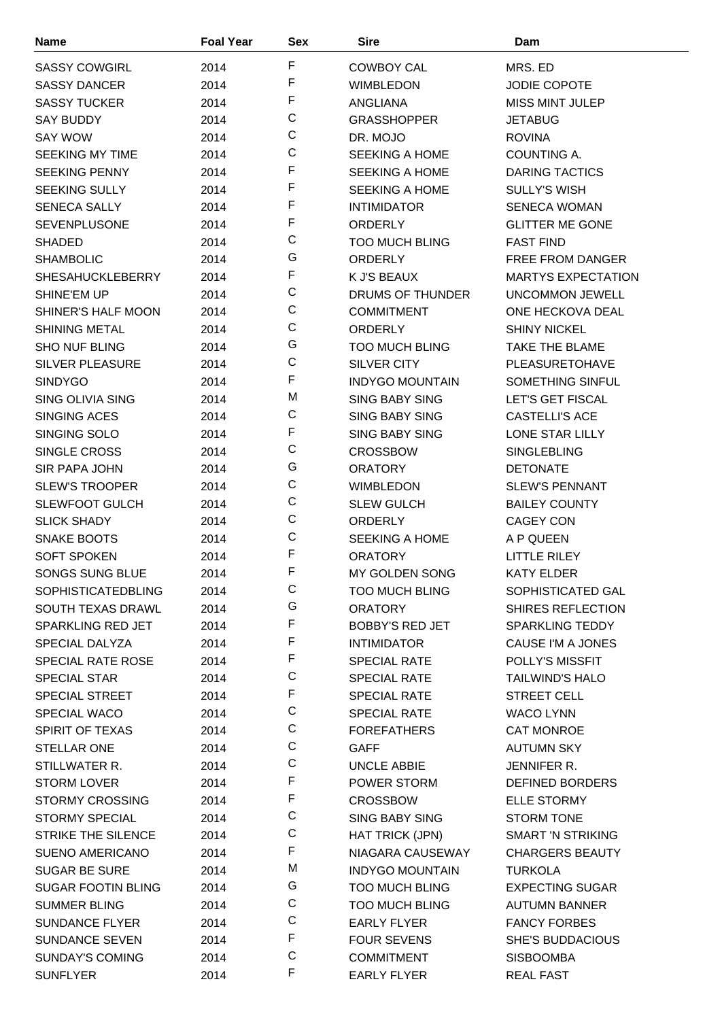| <b>Name</b>               | <b>Foal Year</b> | Sex | <b>Sire</b>            | Dam                       |
|---------------------------|------------------|-----|------------------------|---------------------------|
| <b>SASSY COWGIRL</b>      | 2014             | F   | <b>COWBOY CAL</b>      | MRS. ED                   |
| <b>SASSY DANCER</b>       | 2014             | F   | <b>WIMBLEDON</b>       | <b>JODIE COPOTE</b>       |
| <b>SASSY TUCKER</b>       | 2014             | F   | <b>ANGLIANA</b>        | <b>MISS MINT JULEP</b>    |
| <b>SAY BUDDY</b>          | 2014             | C   | <b>GRASSHOPPER</b>     | <b>JETABUG</b>            |
| <b>SAY WOW</b>            | 2014             | C   | DR. MOJO               | <b>ROVINA</b>             |
| <b>SEEKING MY TIME</b>    | 2014             | C   | <b>SEEKING A HOME</b>  | COUNTING A.               |
| <b>SEEKING PENNY</b>      | 2014             | F   | <b>SEEKING A HOME</b>  | <b>DARING TACTICS</b>     |
| <b>SEEKING SULLY</b>      | 2014             | F   | <b>SEEKING A HOME</b>  | <b>SULLY'S WISH</b>       |
| <b>SENECA SALLY</b>       | 2014             | F   | <b>INTIMIDATOR</b>     | <b>SENECA WOMAN</b>       |
| <b>SEVENPLUSONE</b>       | 2014             | F   | <b>ORDERLY</b>         | <b>GLITTER ME GONE</b>    |
| <b>SHADED</b>             | 2014             | C   | <b>TOO MUCH BLING</b>  | <b>FAST FIND</b>          |
| <b>SHAMBOLIC</b>          | 2014             | G   | <b>ORDERLY</b>         | <b>FREE FROM DANGER</b>   |
| <b>SHESAHUCKLEBERRY</b>   | 2014             | F   | K J'S BEAUX            | <b>MARTYS EXPECTATION</b> |
| SHINE'EM UP               | 2014             | C   | DRUMS OF THUNDER       | <b>UNCOMMON JEWELL</b>    |
| SHINER'S HALF MOON        | 2014             | C   | <b>COMMITMENT</b>      | ONE HECKOVA DEAL          |
| <b>SHINING METAL</b>      | 2014             | C   | <b>ORDERLY</b>         | <b>SHINY NICKEL</b>       |
| <b>SHO NUF BLING</b>      | 2014             | G   | <b>TOO MUCH BLING</b>  | <b>TAKE THE BLAME</b>     |
| <b>SILVER PLEASURE</b>    | 2014             | C   | <b>SILVER CITY</b>     | <b>PLEASURETOHAVE</b>     |
| <b>SINDYGO</b>            | 2014             | F   | <b>INDYGO MOUNTAIN</b> | <b>SOMETHING SINFUL</b>   |
| <b>SING OLIVIA SING</b>   | 2014             | M   | <b>SING BABY SING</b>  | LET'S GET FISCAL          |
| <b>SINGING ACES</b>       | 2014             | C   | <b>SING BABY SING</b>  | <b>CASTELLI'S ACE</b>     |
| SINGING SOLO              | 2014             | F   | <b>SING BABY SING</b>  | LONE STAR LILLY           |
| SINGLE CROSS              | 2014             | C   | <b>CROSSBOW</b>        | <b>SINGLEBLING</b>        |
| <b>SIR PAPA JOHN</b>      | 2014             | G   | <b>ORATORY</b>         | <b>DETONATE</b>           |
| <b>SLEW'S TROOPER</b>     | 2014             | C   | <b>WIMBLEDON</b>       | <b>SLEW'S PENNANT</b>     |
| <b>SLEWFOOT GULCH</b>     | 2014             | C   | <b>SLEW GULCH</b>      | <b>BAILEY COUNTY</b>      |
| <b>SLICK SHADY</b>        | 2014             | C   | <b>ORDERLY</b>         | <b>CAGEY CON</b>          |
| SNAKE BOOTS               | 2014             | C   | <b>SEEKING A HOME</b>  | A P QUEEN                 |
| <b>SOFT SPOKEN</b>        | 2014             | F   | <b>ORATORY</b>         | <b>LITTLE RILEY</b>       |
| SONGS SUNG BLUE           | 2014             | F   | MY GOLDEN SONG         | <b>KATY ELDER</b>         |
| <b>SOPHISTICATEDBLING</b> | 2014             | С   | <b>TOO MUCH BLING</b>  | SOPHISTICATED GAL         |
| SOUTH TEXAS DRAWL         | 2014             | G   | <b>ORATORY</b>         | SHIRES REFLECTION         |
| SPARKLING RED JET         | 2014             | F   | <b>BOBBY'S RED JET</b> | <b>SPARKLING TEDDY</b>    |
| SPECIAL DALYZA            | 2014             | F   | <b>INTIMIDATOR</b>     | CAUSE I'M A JONES         |
| <b>SPECIAL RATE ROSE</b>  | 2014             | F   | <b>SPECIAL RATE</b>    | POLLY'S MISSFIT           |
| <b>SPECIAL STAR</b>       | 2014             | С   | <b>SPECIAL RATE</b>    | <b>TAILWIND'S HALO</b>    |
| <b>SPECIAL STREET</b>     | 2014             | F   | <b>SPECIAL RATE</b>    | <b>STREET CELL</b>        |
| <b>SPECIAL WACO</b>       | 2014             | C   | <b>SPECIAL RATE</b>    | <b>WACO LYNN</b>          |
| SPIRIT OF TEXAS           | 2014             | C   | <b>FOREFATHERS</b>     | <b>CAT MONROE</b>         |
| <b>STELLAR ONE</b>        | 2014             | C   | <b>GAFF</b>            | <b>AUTUMN SKY</b>         |
| STILLWATER R.             | 2014             | C   | <b>UNCLE ABBIE</b>     | JENNIFER R.               |
| <b>STORM LOVER</b>        | 2014             | F   | POWER STORM            | DEFINED BORDERS           |
| <b>STORMY CROSSING</b>    | 2014             | F   | <b>CROSSBOW</b>        | <b>ELLE STORMY</b>        |
| <b>STORMY SPECIAL</b>     | 2014             | C   | <b>SING BABY SING</b>  | <b>STORM TONE</b>         |
| <b>STRIKE THE SILENCE</b> | 2014             | C   | <b>HAT TRICK (JPN)</b> | <b>SMART 'N STRIKING</b>  |
| <b>SUENO AMERICANO</b>    | 2014             | F   | NIAGARA CAUSEWAY       | <b>CHARGERS BEAUTY</b>    |
| <b>SUGAR BE SURE</b>      | 2014             | M   | <b>INDYGO MOUNTAIN</b> | <b>TURKOLA</b>            |
| <b>SUGAR FOOTIN BLING</b> | 2014             | G   | <b>TOO MUCH BLING</b>  | <b>EXPECTING SUGAR</b>    |
| <b>SUMMER BLING</b>       | 2014             | С   | <b>TOO MUCH BLING</b>  | <b>AUTUMN BANNER</b>      |
| <b>SUNDANCE FLYER</b>     | 2014             | C   | <b>EARLY FLYER</b>     | <b>FANCY FORBES</b>       |
| <b>SUNDANCE SEVEN</b>     | 2014             | F   | <b>FOUR SEVENS</b>     | <b>SHE'S BUDDACIOUS</b>   |
| <b>SUNDAY'S COMING</b>    | 2014             | C   | <b>COMMITMENT</b>      | <b>SISBOOMBA</b>          |
| <b>SUNFLYER</b>           | 2014             | F   | <b>EARLY FLYER</b>     | <b>REAL FAST</b>          |
|                           |                  |     |                        |                           |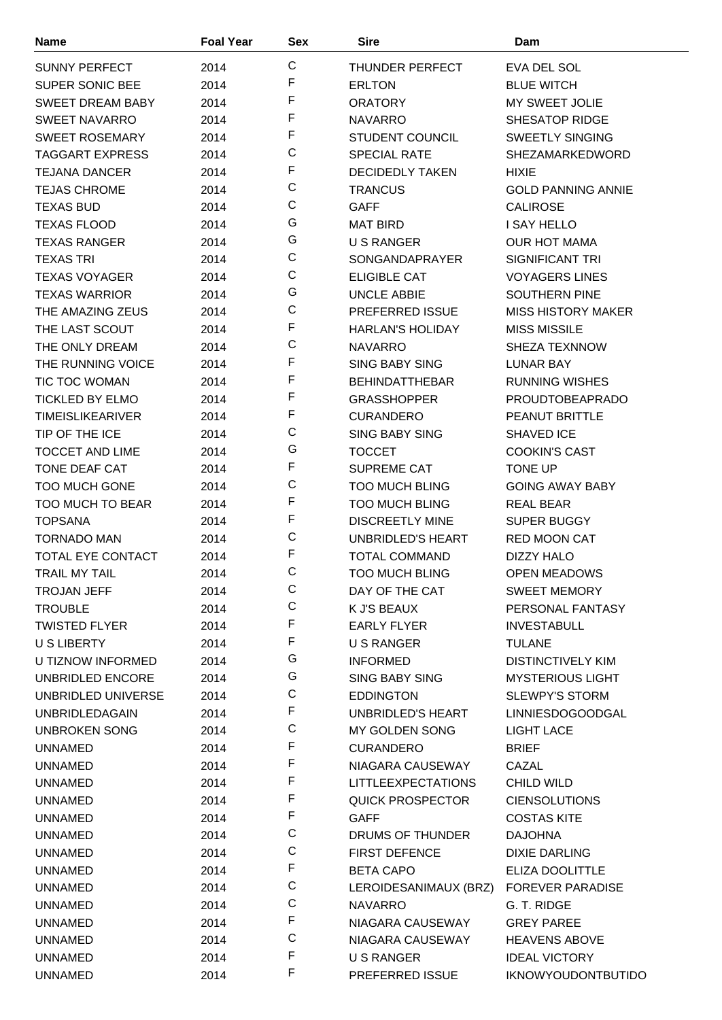| <b>Name</b>             | <b>Foal Year</b> | Sex          | Sire                      | Dam                       |
|-------------------------|------------------|--------------|---------------------------|---------------------------|
| <b>SUNNY PERFECT</b>    | 2014             | C            | THUNDER PERFECT           | EVA DEL SOL               |
| <b>SUPER SONIC BEE</b>  | 2014             | F            | <b>ERLTON</b>             | <b>BLUE WITCH</b>         |
| <b>SWEET DREAM BABY</b> | 2014             | F            | <b>ORATORY</b>            | <b>MY SWEET JOLIE</b>     |
| <b>SWEET NAVARRO</b>    | 2014             | F            | <b>NAVARRO</b>            | SHESATOP RIDGE            |
| <b>SWEET ROSEMARY</b>   | 2014             | F            | <b>STUDENT COUNCIL</b>    | <b>SWEETLY SINGING</b>    |
| <b>TAGGART EXPRESS</b>  | 2014             | C            | <b>SPECIAL RATE</b>       | SHEZAMARKEDWORD           |
| <b>TEJANA DANCER</b>    | 2014             | F            | <b>DECIDEDLY TAKEN</b>    | <b>HIXIE</b>              |
| <b>TEJAS CHROME</b>     | 2014             | C            | <b>TRANCUS</b>            | <b>GOLD PANNING ANNIE</b> |
| <b>TEXAS BUD</b>        | 2014             | C            | <b>GAFF</b>               | <b>CALIROSE</b>           |
| <b>TEXAS FLOOD</b>      | 2014             | G            | <b>MAT BIRD</b>           | <b>I SAY HELLO</b>        |
| <b>TEXAS RANGER</b>     | 2014             | G            | <b>U S RANGER</b>         | <b>OUR HOT MAMA</b>       |
| <b>TEXAS TRI</b>        | 2014             | C            | <b>SONGANDAPRAYER</b>     | SIGNIFICANT TRI           |
| <b>TEXAS VOYAGER</b>    | 2014             | C            | <b>ELIGIBLE CAT</b>       | <b>VOYAGERS LINES</b>     |
|                         |                  | G            | <b>UNCLE ABBIE</b>        | <b>SOUTHERN PINE</b>      |
| <b>TEXAS WARRIOR</b>    | 2014             | C            |                           |                           |
| THE AMAZING ZEUS        | 2014             | F            | PREFERRED ISSUE           | <b>MISS HISTORY MAKER</b> |
| THE LAST SCOUT          | 2014             | C            | <b>HARLAN'S HOLIDAY</b>   | <b>MISS MISSILE</b>       |
| THE ONLY DREAM          | 2014             | F            | <b>NAVARRO</b>            | SHEZA TEXNNOW             |
| THE RUNNING VOICE       | 2014             | F            | <b>SING BABY SING</b>     | <b>LUNAR BAY</b>          |
| <b>TIC TOC WOMAN</b>    | 2014             | F            | <b>BEHINDATTHEBAR</b>     | <b>RUNNING WISHES</b>     |
| <b>TICKLED BY ELMO</b>  | 2014             | F            | <b>GRASSHOPPER</b>        | <b>PROUDTOBEAPRADO</b>    |
| <b>TIMEISLIKEARIVER</b> | 2014             |              | <b>CURANDERO</b>          | <b>PEANUT BRITTLE</b>     |
| TIP OF THE ICE          | 2014             | С            | <b>SING BABY SING</b>     | <b>SHAVED ICE</b>         |
| <b>TOCCET AND LIME</b>  | 2014             | G            | <b>TOCCET</b>             | <b>COOKIN'S CAST</b>      |
| <b>TONE DEAF CAT</b>    | 2014             | F            | <b>SUPREME CAT</b>        | <b>TONE UP</b>            |
| <b>TOO MUCH GONE</b>    | 2014             | C            | <b>TOO MUCH BLING</b>     | <b>GOING AWAY BABY</b>    |
| <b>TOO MUCH TO BEAR</b> | 2014             | F            | <b>TOO MUCH BLING</b>     | <b>REAL BEAR</b>          |
| <b>TOPSANA</b>          | 2014             | F            | <b>DISCREETLY MINE</b>    | SUPER BUGGY               |
| <b>TORNADO MAN</b>      | 2014             | С            | <b>UNBRIDLED'S HEART</b>  | <b>RED MOON CAT</b>       |
| TOTAL EYE CONTACT       | 2014             | F            | <b>TOTAL COMMAND</b>      | <b>DIZZY HALO</b>         |
| <b>TRAIL MY TAIL</b>    | 2014             | $\mathsf{C}$ | <b>TOO MUCH BLING</b>     | <b>OPEN MEADOWS</b>       |
| <b>TROJAN JEFF</b>      | 2014             | С            | DAY OF THE CAT            | <b>SWEET MEMORY</b>       |
| <b>TROUBLE</b>          | 2014             | С            | K J'S BEAUX               | PERSONAL FANTASY          |
| <b>TWISTED FLYER</b>    | 2014             | F            | <b>EARLY FLYER</b>        | <b>INVESTABULL</b>        |
| U S LIBERTY             | 2014             | F            | U S RANGER                | <b>TULANE</b>             |
| U TIZNOW INFORMED       | 2014             | G            | <b>INFORMED</b>           | <b>DISTINCTIVELY KIM</b>  |
| UNBRIDLED ENCORE        | 2014             | G            | <b>SING BABY SING</b>     | <b>MYSTERIOUS LIGHT</b>   |
| UNBRIDLED UNIVERSE      | 2014             | С            | <b>EDDINGTON</b>          | <b>SLEWPY'S STORM</b>     |
| <b>UNBRIDLEDAGAIN</b>   | 2014             | F            | UNBRIDLED'S HEART         | <b>LINNIESDOGOODGAL</b>   |
| UNBROKEN SONG           | 2014             | C            | MY GOLDEN SONG            | LIGHT LACE                |
| <b>UNNAMED</b>          | 2014             | F            | <b>CURANDERO</b>          | <b>BRIEF</b>              |
| <b>UNNAMED</b>          | 2014             | F            | NIAGARA CAUSEWAY          | CAZAL                     |
| <b>UNNAMED</b>          | 2014             | F            | <b>LITTLEEXPECTATIONS</b> | <b>CHILD WILD</b>         |
| <b>UNNAMED</b>          | 2014             | F            | <b>QUICK PROSPECTOR</b>   | <b>CIENSOLUTIONS</b>      |
| <b>UNNAMED</b>          | 2014             | F            | <b>GAFF</b>               | <b>COSTAS KITE</b>        |
| <b>UNNAMED</b>          | 2014             | C            | DRUMS OF THUNDER          | <b>DAJOHNA</b>            |
| <b>UNNAMED</b>          | 2014             | C            | <b>FIRST DEFENCE</b>      | <b>DIXIE DARLING</b>      |
| <b>UNNAMED</b>          | 2014             | F            | <b>BETA CAPO</b>          | ELIZA DOOLITTLE           |
| <b>UNNAMED</b>          | 2014             | C            | LEROIDESANIMAUX (BRZ)     | <b>FOREVER PARADISE</b>   |
| <b>UNNAMED</b>          | 2014             | C            | <b>NAVARRO</b>            | G. T. RIDGE               |
| <b>UNNAMED</b>          | 2014             | F            | NIAGARA CAUSEWAY          | <b>GREY PAREE</b>         |
| <b>UNNAMED</b>          | 2014             | C            | NIAGARA CAUSEWAY          | <b>HEAVENS ABOVE</b>      |
| <b>UNNAMED</b>          | 2014             | F            | U S RANGER                | <b>IDEAL VICTORY</b>      |
| <b>UNNAMED</b>          | 2014             | F            | PREFERRED ISSUE           | <b>IKNOWYOUDONTBUTIDO</b> |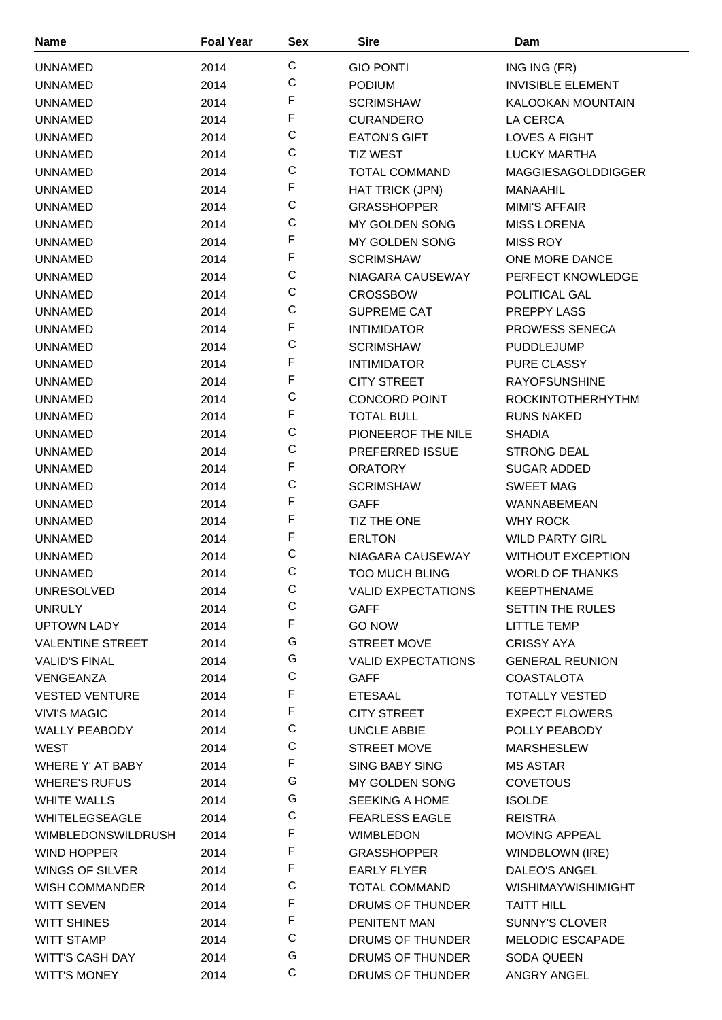| <b>Name</b>               | <b>Foal Year</b> | Sex          | <b>Sire</b>               | Dam                       |
|---------------------------|------------------|--------------|---------------------------|---------------------------|
| <b>UNNAMED</b>            | 2014             | $\mathsf{C}$ | <b>GIO PONTI</b>          | ING ING (FR)              |
| <b>UNNAMED</b>            | 2014             | C            | <b>PODIUM</b>             | <b>INVISIBLE ELEMENT</b>  |
| <b>UNNAMED</b>            | 2014             | F            | <b>SCRIMSHAW</b>          | KALOOKAN MOUNTAIN         |
| <b>UNNAMED</b>            | 2014             | F            | <b>CURANDERO</b>          | LA CERCA                  |
| <b>UNNAMED</b>            | 2014             | $\mathsf C$  | <b>EATON'S GIFT</b>       | <b>LOVES A FIGHT</b>      |
| <b>UNNAMED</b>            | 2014             | C            | <b>TIZ WEST</b>           | <b>LUCKY MARTHA</b>       |
| <b>UNNAMED</b>            | 2014             | C            | <b>TOTAL COMMAND</b>      | <b>MAGGIESAGOLDDIGGER</b> |
| <b>UNNAMED</b>            | 2014             | F            | HAT TRICK (JPN)           | <b>MANAAHIL</b>           |
| <b>UNNAMED</b>            | 2014             | $\mathsf C$  | <b>GRASSHOPPER</b>        | <b>MIMI'S AFFAIR</b>      |
| <b>UNNAMED</b>            | 2014             | $\mathsf C$  | MY GOLDEN SONG            | <b>MISS LORENA</b>        |
| <b>UNNAMED</b>            | 2014             | F            | MY GOLDEN SONG            | <b>MISS ROY</b>           |
|                           |                  | $\mathsf F$  | <b>SCRIMSHAW</b>          | ONE MORE DANCE            |
| <b>UNNAMED</b>            | 2014             | $\mathsf C$  |                           | PERFECT KNOWLEDGE         |
| <b>UNNAMED</b>            | 2014             | C            | NIAGARA CAUSEWAY          | POLITICAL GAL             |
| <b>UNNAMED</b>            | 2014             | C            | <b>CROSSBOW</b>           |                           |
| <b>UNNAMED</b>            | 2014             | F            | SUPREME CAT               | PREPPY LASS               |
| <b>UNNAMED</b>            | 2014             | C            | <b>INTIMIDATOR</b>        | PROWESS SENECA            |
| <b>UNNAMED</b>            | 2014             | F            | <b>SCRIMSHAW</b>          | <b>PUDDLEJUMP</b>         |
| <b>UNNAMED</b>            | 2014             | F            | <b>INTIMIDATOR</b>        | PURE CLASSY               |
| <b>UNNAMED</b>            | 2014             | $\mathsf C$  | <b>CITY STREET</b>        | <b>RAYOFSUNSHINE</b>      |
| <b>UNNAMED</b>            | 2014             | $\mathsf F$  | <b>CONCORD POINT</b>      | <b>ROCKINTOTHERHYTHM</b>  |
| <b>UNNAMED</b>            | 2014             |              | <b>TOTAL BULL</b>         | <b>RUNS NAKED</b>         |
| <b>UNNAMED</b>            | 2014             | C            | PIONEEROF THE NILE        | <b>SHADIA</b>             |
| <b>UNNAMED</b>            | 2014             | $\mathsf C$  | PREFERRED ISSUE           | <b>STRONG DEAL</b>        |
| <b>UNNAMED</b>            | 2014             | F            | <b>ORATORY</b>            | <b>SUGAR ADDED</b>        |
| <b>UNNAMED</b>            | 2014             | $\mathsf C$  | <b>SCRIMSHAW</b>          | <b>SWEET MAG</b>          |
| <b>UNNAMED</b>            | 2014             | F            | <b>GAFF</b>               | WANNABEMEAN               |
| <b>UNNAMED</b>            | 2014             | F            | TIZ THE ONE               | <b>WHY ROCK</b>           |
| <b>UNNAMED</b>            | 2014             | F            | <b>ERLTON</b>             | <b>WILD PARTY GIRL</b>    |
| <b>UNNAMED</b>            | 2014             | C            | NIAGARA CAUSEWAY          | <b>WITHOUT EXCEPTION</b>  |
| <b>UNNAMED</b>            | 2014             | $\mathsf{C}$ | <b>TOO MUCH BLING</b>     | <b>WORLD OF THANKS</b>    |
| <b>UNRESOLVED</b>         | 2014             | C            | <b>VALID EXPECTATIONS</b> | <b>KEEPTHENAME</b>        |
| <b>UNRULY</b>             | 2014             | $\mathsf C$  | <b>GAFF</b>               | <b>SETTIN THE RULES</b>   |
| <b>UPTOWN LADY</b>        | 2014             | F            | <b>GO NOW</b>             | LITTLE TEMP               |
| <b>VALENTINE STREET</b>   | 2014             | G            | <b>STREET MOVE</b>        | <b>CRISSY AYA</b>         |
| <b>VALID'S FINAL</b>      | 2014             | G            | <b>VALID EXPECTATIONS</b> | <b>GENERAL REUNION</b>    |
| VENGEANZA                 | 2014             | $\mathsf C$  | <b>GAFF</b>               | <b>COASTALOTA</b>         |
| <b>VESTED VENTURE</b>     | 2014             | F            | <b>ETESAAL</b>            | <b>TOTALLY VESTED</b>     |
| <b>VIVI'S MAGIC</b>       | 2014             | $\mathsf F$  | <b>CITY STREET</b>        | <b>EXPECT FLOWERS</b>     |
| <b>WALLY PEABODY</b>      | 2014             | $\mathsf C$  | <b>UNCLE ABBIE</b>        | POLLY PEABODY             |
| WEST                      | 2014             | $\mathbf C$  | <b>STREET MOVE</b>        | <b>MARSHESLEW</b>         |
| WHERE Y' AT BABY          | 2014             | F            | <b>SING BABY SING</b>     | <b>MS ASTAR</b>           |
| <b>WHERE'S RUFUS</b>      | 2014             | G            | MY GOLDEN SONG            | <b>COVETOUS</b>           |
| WHITE WALLS               | 2014             | G            | SEEKING A HOME            | <b>ISOLDE</b>             |
| <b>WHITELEGSEAGLE</b>     | 2014             | $\mathsf C$  | <b>FEARLESS EAGLE</b>     | <b>REISTRA</b>            |
| <b>WIMBLEDONSWILDRUSH</b> | 2014             | F            | <b>WIMBLEDON</b>          | <b>MOVING APPEAL</b>      |
| WIND HOPPER               | 2014             | $\mathsf F$  | <b>GRASSHOPPER</b>        | WINDBLOWN (IRE)           |
| WINGS OF SILVER           | 2014             | F            | <b>EARLY FLYER</b>        | DALEO'S ANGEL             |
| <b>WISH COMMANDER</b>     | 2014             | $\mathsf C$  | <b>TOTAL COMMAND</b>      | <b>WISHIMAYWISHIMIGHT</b> |
| <b>WITT SEVEN</b>         | 2014             | F            | DRUMS OF THUNDER          | <b>TAITT HILL</b>         |
| <b>WITT SHINES</b>        | 2014             | F            | PENITENT MAN              | <b>SUNNY'S CLOVER</b>     |
| <b>WITT STAMP</b>         | 2014             | C            | DRUMS OF THUNDER          | <b>MELODIC ESCAPADE</b>   |
| <b>WITT'S CASH DAY</b>    | 2014             | G            | DRUMS OF THUNDER          | SODA QUEEN                |
| <b>WITT'S MONEY</b>       | 2014             | $\mathsf C$  | DRUMS OF THUNDER          | ANGRY ANGEL               |